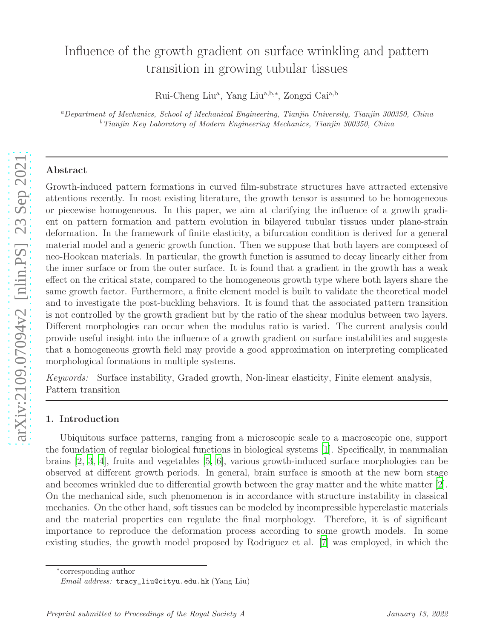# Influence of the growth gradient on surface wrinkling and pattern transition in growing tubular tissues

Rui-Cheng Liu<sup>a</sup>, Yang Liu<sup>a,b,\*</sup>, Zongxi Cai<sup>a,b</sup>

<sup>a</sup>Department of Mechanics, School of Mechanical Engineering, Tianjin University, Tianjin 300350, China b<sup>b</sup> Tianjin Key Laboratory of Modern Engineering Mechanics, Tianjin 300350, China

## Abstract

Growth-induced pattern formations in curved film-substrate structures have attracted extensive attentions recently. In most existing literature, the growth tensor is assumed to be homogeneous or piecewise homogeneous. In this paper, we aim at clarifying the influence of a growth gradient on pattern formation and pattern evolution in bilayered tubular tissues under plane-strain deformation. In the framework of finite elasticity, a bifurcation condition is derived for a general material model and a generic growth function. Then we suppose that both layers are composed of neo-Hookean materials. In particular, the growth function is assumed to decay linearly either from the inner surface or from the outer surface. It is found that a gradient in the growth has a weak effect on the critical state, compared to the homogeneous growth type where both layers share the same growth factor. Furthermore, a finite element model is built to validate the theoretical model and to investigate the post-buckling behaviors. It is found that the associated pattern transition is not controlled by the growth gradient but by the ratio of the shear modulus between two layers. Different morphologies can occur when the modulus ratio is varied. The current analysis could provide useful insight into the influence of a growth gradient on surface instabilities and suggests that a homogeneous growth field may provide a good approximation on interpreting complicated morphological formations in multiple systems.

Keywords: Surface instability, Graded growth, Non-linear elasticity, Finite element analysis, Pattern transition

## 1. Introduction

Ubiquitous surface patterns, ranging from a microscopic scale to a macroscopic one, support the foundation of regular biological functions in biological systems [\[1](#page-17-0)]. Specifically, in mammalian brains [\[2,](#page-17-1) [3](#page-17-2), [4\]](#page-17-3), fruits and vegetables [\[5,](#page-17-4) [6](#page-17-5)], various growth-induced surface morphologies can be observed at different growth periods. In general, brain surface is smooth at the new born stage and becomes wrinkled due to differential growth between the gray matter and the white matter [\[2\]](#page-17-1). On the mechanical side, such phenomenon is in accordance with structure instability in classical mechanics. On the other hand, soft tissues can be modeled by incompressible hyperelastic materials and the material properties can regulate the final morphology. Therefore, it is of significant importance to reproduce the deformation process according to some growth models. In some existing studies, the growth model proposed by Rodriguez et al. [\[7\]](#page-17-6) was employed, in which the

∗ corresponding author

Email address: tracy\_liu@cityu.edu.hk (Yang Liu)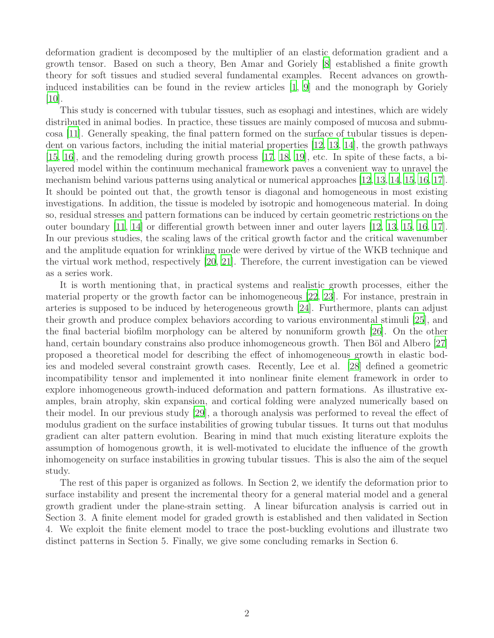deformation gradient is decomposed by the multiplier of an elastic deformation gradient and a growth tensor. Based on such a theory, Ben Amar and Goriely [\[8](#page-18-0)] established a finite growth theory for soft tissues and studied several fundamental examples. Recent advances on growthinduced instabilities can be found in the review articles [\[1,](#page-17-0) [9](#page-18-1)] and the monograph by Goriely [\[10\]](#page-18-2).

This study is concerned with tubular tissues, such as esophagi and intestines, which are widely distributed in animal bodies. In practice, these tissues are mainly composed of mucosa and submucosa [\[11](#page-18-3)]. Generally speaking, the final pattern formed on the surface of tubular tissues is dependent on various factors, including the initial material properties [\[12,](#page-18-4) [13](#page-18-5), [14](#page-18-6)], the growth pathways [\[15,](#page-18-7) [16\]](#page-18-8), and the remodeling during growth process [\[17,](#page-18-9) [18](#page-18-10), [19\]](#page-18-11), etc. In spite of these facts, a bilayered model within the continuum mechanical framework paves a convenient way to unravel the mechanism behind various patterns using analytical or numerical approaches [\[12,](#page-18-4) [13,](#page-18-5) [14](#page-18-6), [15](#page-18-7), [16,](#page-18-8) [17\]](#page-18-9). It should be pointed out that, the growth tensor is diagonal and homogeneous in most existing investigations. In addition, the tissue is modeled by isotropic and homogeneous material. In doing so, residual stresses and pattern formations can be induced by certain geometric restrictions on the outer boundary [\[11](#page-18-3), [14\]](#page-18-6) or differential growth between inner and outer layers [\[12](#page-18-4), [13,](#page-18-5) [15,](#page-18-7) [16,](#page-18-8) [17\]](#page-18-9). In our previous studies, the scaling laws of the critical growth factor and the critical wavenumber and the amplitude equation for wrinkling mode were derived by virtue of the WKB technique and the virtual work method, respectively [\[20,](#page-18-12) [21\]](#page-18-13). Therefore, the current investigation can be viewed as a series work.

It is worth mentioning that, in practical systems and realistic growth processes, either the material property or the growth factor can be inhomogeneous [\[22,](#page-18-14) [23](#page-18-15)]. For instance, prestrain in arteries is supposed to be induced by heterogeneous growth [\[24\]](#page-18-16). Furthermore, plants can adjust their growth and produce complex behaviors according to various environmental stimuli [\[25](#page-19-0)], and the final bacterial biofilm morphology can be altered by nonuniform growth [\[26\]](#page-19-1). On the other hand, certain boundary constrains also produce inhomogeneous growth. Then Böl and Albero [\[27\]](#page-19-2) proposed a theoretical model for describing the effect of inhomogeneous growth in elastic bodies and modeled several constraint growth cases. Recently, Lee et al. [\[28](#page-19-3)] defined a geometric incompatibility tensor and implemented it into nonlinear finite element framework in order to explore inhomogeneous growth-induced deformation and pattern formations. As illustrative examples, brain atrophy, skin expansion, and cortical folding were analyzed numerically based on their model. In our previous study [\[29\]](#page-19-4), a thorough analysis was performed to reveal the effect of modulus gradient on the surface instabilities of growing tubular tissues. It turns out that modulus gradient can alter pattern evolution. Bearing in mind that much existing literature exploits the assumption of homogenous growth, it is well-motivated to elucidate the influence of the growth inhomogeneity on surface instabilities in growing tubular tissues. This is also the aim of the sequel study.

The rest of this paper is organized as follows. In Section 2, we identify the deformation prior to surface instability and present the incremental theory for a general material model and a general growth gradient under the plane-strain setting. A linear bifurcation analysis is carried out in Section 3. A finite element model for graded growth is established and then validated in Section 4. We exploit the finite element model to trace the post-buckling evolutions and illustrate two distinct patterns in Section 5. Finally, we give some concluding remarks in Section 6.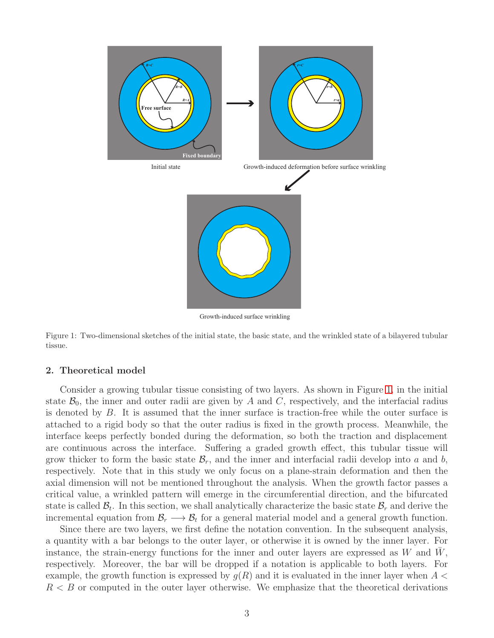

Growth-induced surface wrinkling

<span id="page-2-0"></span>Figure 1: Two-dimensional sketches of the initial state, the basic state, and the wrinkled state of a bilayered tubular tissue.

#### 2. Theoretical model

Consider a growing tubular tissue consisting of two layers. As shown in Figure [1,](#page-2-0) in the initial state  $\mathcal{B}_0$ , the inner and outer radii are given by A and C, respectively, and the interfacial radius is denoted by  $B$ . It is assumed that the inner surface is traction-free while the outer surface is attached to a rigid body so that the outer radius is fixed in the growth process. Meanwhile, the interface keeps perfectly bonded during the deformation, so both the traction and displacement are continuous across the interface. Suffering a graded growth effect, this tubular tissue will grow thicker to form the basic state  $\mathcal{B}_r$ , and the inner and interfacial radii develop into a and b, respectively. Note that in this study we only focus on a plane-strain deformation and then the axial dimension will not be mentioned throughout the analysis. When the growth factor passes a critical value, a wrinkled pattern will emerge in the circumferential direction, and the bifurcated state is called  $\mathcal{B}_t$ . In this section, we shall analytically characterize the basic state  $\mathcal{B}_r$  and derive the incremental equation from  $\mathcal{B}_r \longrightarrow \mathcal{B}_t$  for a general material model and a general growth function.

Since there are two layers, we first define the notation convention. In the subsequent analysis, a quantity with a bar belongs to the outer layer, or otherwise it is owned by the inner layer. For instance, the strain-energy functions for the inner and outer layers are expressed as  $W$  and  $W$ , respectively. Moreover, the bar will be dropped if a notation is applicable to both layers. For example, the growth function is expressed by  $g(R)$  and it is evaluated in the inner layer when  $A \leq$  $R < B$  or computed in the outer layer otherwise. We emphasize that the theoretical derivations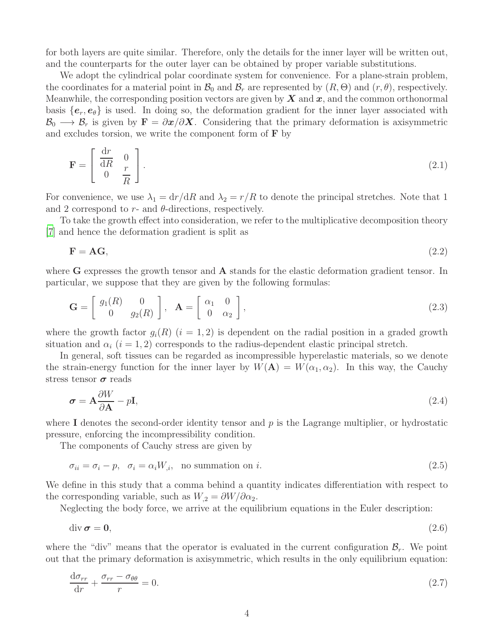for both layers are quite similar. Therefore, only the details for the inner layer will be written out, and the counterparts for the outer layer can be obtained by proper variable substitutions.

We adopt the cylindrical polar coordinate system for convenience. For a plane-strain problem, the coordinates for a material point in  $\mathcal{B}_0$  and  $\mathcal{B}_r$  are represented by  $(R, \Theta)$  and  $(r, \theta)$ , respectively. Meanwhile, the corresponding position vectors are given by  $X$  and  $x$ , and the common orthonormal basis  ${e_r, e_\theta}$  is used. In doing so, the deformation gradient for the inner layer associated with  $\mathcal{B}_0 \longrightarrow \mathcal{B}_r$  is given by  $\mathbf{F} = \partial x/\partial X$ . Considering that the primary deformation is axisymmetric and excludes torsion, we write the component form of  $\bf{F}$  by

$$
\mathbf{F} = \begin{bmatrix} \frac{\mathrm{d}r}{\mathrm{d}R} & 0\\ 0 & \frac{r}{R} \end{bmatrix} . \tag{2.1}
$$

For convenience, we use  $\lambda_1 = dr/dR$  and  $\lambda_2 = r/R$  to denote the principal stretches. Note that 1 and 2 correspond to  $r$ - and  $\theta$ -directions, respectively.

To take the growth effect into consideration, we refer to the multiplicative decomposition theory [\[7\]](#page-17-6) and hence the deformation gradient is split as

$$
\mathbf{F} = \mathbf{A}\mathbf{G},\tag{2.2}
$$

where  $G$  expresses the growth tensor and  $A$  stands for the elastic deformation gradient tensor. In particular, we suppose that they are given by the following formulas:

$$
\mathbf{G} = \begin{bmatrix} g_1(R) & 0 \\ 0 & g_2(R) \end{bmatrix}, \quad \mathbf{A} = \begin{bmatrix} \alpha_1 & 0 \\ 0 & \alpha_2 \end{bmatrix}, \tag{2.3}
$$

where the growth factor  $g_i(R)$   $(i = 1, 2)$  is dependent on the radial position in a graded growth situation and  $\alpha_i$  (i = 1, 2) corresponds to the radius-dependent elastic principal stretch.

In general, soft tissues can be regarded as incompressible hyperelastic materials, so we denote the strain-energy function for the inner layer by  $W(A) = W(\alpha_1, \alpha_2)$ . In this way, the Cauchy stress tensor  $\sigma$  reads

<span id="page-3-2"></span>
$$
\sigma = \mathbf{A} \frac{\partial W}{\partial \mathbf{A}} - p\mathbf{I},\tag{2.4}
$$

where I denotes the second-order identity tensor and  $p$  is the Lagrange multiplier, or hydrostatic pressure, enforcing the incompressibility condition.

The components of Cauchy stress are given by

<span id="page-3-0"></span>
$$
\sigma_{ii} = \sigma_i - p, \quad \sigma_i = \alpha_i W_{,i}, \quad \text{no summation on } i. \tag{2.5}
$$

We define in this study that a comma behind a quantity indicates differentiation with respect to the corresponding variable, such as  $W_2 = \partial W / \partial \alpha_2$ .

Neglecting the body force, we arrive at the equilibrium equations in the Euler description:

$$
\operatorname{div} \boldsymbol{\sigma} = \mathbf{0},\tag{2.6}
$$

where the "div" means that the operator is evaluated in the current configuration  $\mathcal{B}_r$ . We point out that the primary deformation is axisymmetric, which results in the only equilibrium equation:

<span id="page-3-1"></span>
$$
\frac{\mathrm{d}\sigma_{rr}}{\mathrm{d}r} + \frac{\sigma_{rr} - \sigma_{\theta\theta}}{r} = 0. \tag{2.7}
$$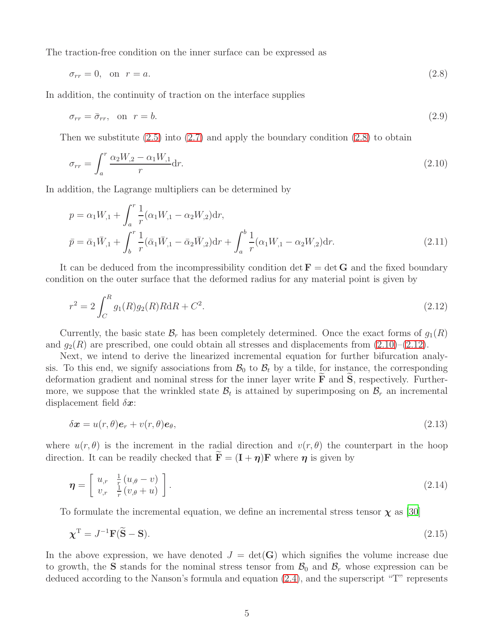The traction-free condition on the inner surface can be expressed as

<span id="page-4-0"></span>
$$
\sigma_{rr} = 0, \quad \text{on} \quad r = a. \tag{2.8}
$$

In addition, the continuity of traction on the interface supplies

$$
\sigma_{rr} = \bar{\sigma}_{rr}, \quad \text{on} \quad r = b. \tag{2.9}
$$

Then we substitute  $(2.5)$  into  $(2.7)$  and apply the boundary condition  $(2.8)$  to obtain

<span id="page-4-1"></span>
$$
\sigma_{rr} = \int_{a}^{r} \frac{\alpha_2 W_{,2} - \alpha_1 W_{,1}}{r} dr.
$$
\n(2.10)

In addition, the Lagrange multipliers can be determined by

$$
p = \alpha_1 W_{,1} + \int_a^r \frac{1}{r} (\alpha_1 W_{,1} - \alpha_2 W_{,2}) dr,
$$
  
\n
$$
\bar{p} = \bar{\alpha}_1 \bar{W}_{,1} + \int_b^r \frac{1}{r} (\bar{\alpha}_1 \bar{W}_{,1} - \bar{\alpha}_2 \bar{W}_{,2}) dr + \int_a^b \frac{1}{r} (\alpha_1 W_{,1} - \alpha_2 W_{,2}) dr.
$$
\n(2.11)

It can be deduced from the incompressibility condition det  $\mathbf{F} = \det \mathbf{G}$  and the fixed boundary condition on the outer surface that the deformed radius for any material point is given by

<span id="page-4-2"></span>
$$
r^2 = 2 \int_C^R g_1(R) g_2(R) R \mathrm{d}R + C^2. \tag{2.12}
$$

Currently, the basic state  $\mathcal{B}_r$  has been completely determined. Once the exact forms of  $g_1(R)$ and  $g_2(R)$  are prescribed, one could obtain all stresses and displacements from  $(2.10)$ – $(2.12)$ .

Next, we intend to derive the linearized incremental equation for further bifurcation analysis. To this end, we signify associations from  $\mathcal{B}_0$  to  $\mathcal{B}_t$  by a tilde, for instance, the corresponding deformation gradient and nominal stress for the inner layer write  $\bf{F}$  and  $\bf{S}$ , respectively. Furthermore, we suppose that the wrinkled state  $\mathcal{B}_t$  is attained by superimposing on  $\mathcal{B}_r$  an incremental displacement field  $\delta x$ :

$$
\delta \boldsymbol{x} = u(r,\theta)\boldsymbol{e}_r + v(r,\theta)\boldsymbol{e}_\theta,\tag{2.13}
$$

where  $u(r, \theta)$  is the increment in the radial direction and  $v(r, \theta)$  the counterpart in the hoop direction. It can be readily checked that  $\mathbf{F} = (\mathbf{I} + \boldsymbol{\eta})\mathbf{F}$  where  $\boldsymbol{\eta}$  is given by

<span id="page-4-3"></span>
$$
\boldsymbol{\eta} = \left[ \begin{array}{cc} u_{,r} & \frac{1}{r} \left( u_{,\theta} - v \right) \\ v_{,r} & \frac{1}{r} \left( v_{,\theta} + u \right) \end{array} \right]. \tag{2.14}
$$

To formulate the incremental equation, we define an incremental stress tensor  $\chi$  as [\[30\]](#page-19-5)

$$
\chi^{\mathrm{T}} = J^{-1}\mathbf{F}(\widetilde{\mathbf{S}} - \mathbf{S}).\tag{2.15}
$$

In the above expression, we have denoted  $J = det(G)$  which signifies the volume increase due to growth, the S stands for the nominal stress tensor from  $\mathcal{B}_0$  and  $\mathcal{B}_r$  whose expression can be deduced according to the Nanson's formula and equation [\(2.4\)](#page-3-2), and the superscript "T" represents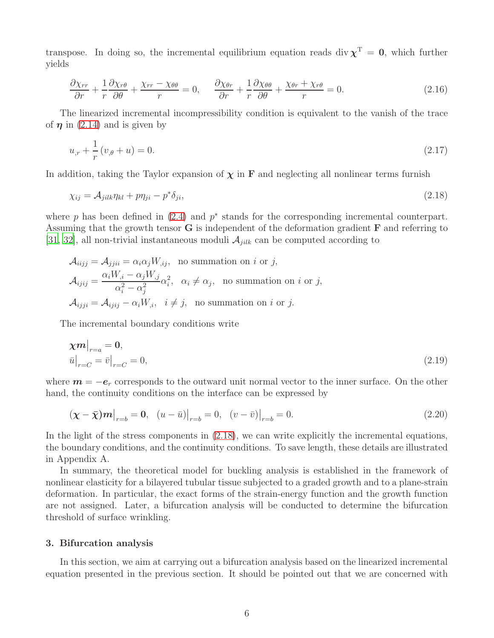transpose. In doing so, the incremental equilibrium equation reads div  $\chi^T = 0$ , which further yields

<span id="page-5-2"></span>
$$
\frac{\partial \chi_{rr}}{\partial r} + \frac{1}{r} \frac{\partial \chi_{r\theta}}{\partial \theta} + \frac{\chi_{rr} - \chi_{\theta\theta}}{r} = 0, \quad \frac{\partial \chi_{\theta r}}{\partial r} + \frac{1}{r} \frac{\partial \chi_{\theta\theta}}{\partial \theta} + \frac{\chi_{\theta r} + \chi_{r\theta}}{r} = 0.
$$
\n(2.16)

The linearized incremental incompressibility condition is equivalent to the vanish of the trace of  $\eta$  in [\(2.14\)](#page-4-3) and is given by

<span id="page-5-1"></span><span id="page-5-0"></span>
$$
u_{,r} + \frac{1}{r}(v_{,\theta} + u) = 0. \tag{2.17}
$$

In addition, taking the Taylor expansion of  $\chi$  in **F** and neglecting all nonlinear terms furnish

$$
\chi_{ij} = \mathcal{A}_{jilk}\eta_{kl} + p\eta_{ji} - p^*\delta_{ji},\tag{2.18}
$$

where  $p$  has been defined in  $(2.4)$  and  $p^*$  stands for the corresponding incremental counterpart. Assuming that the growth tensor  $G$  is independent of the deformation gradient  $F$  and referring to  $[31, 32]$  $[31, 32]$ , all non-trivial instantaneous moduli  $\mathcal{A}_{jilk}$  can be computed according to

$$
\mathcal{A}_{iijj} = \mathcal{A}_{jjii} = \alpha_i \alpha_j W_{,ij}, \text{ no summation on } i \text{ or } j,
$$
  

$$
\mathcal{A}_{ijij} = \frac{\alpha_i W_{,i} - \alpha_j W_{,j}}{\alpha_i^2 - \alpha_j^2} \alpha_i^2, \quad \alpha_i \neq \alpha_j, \text{ no summation on } i \text{ or } j,
$$
  

$$
\mathcal{A}_{ijji} = \mathcal{A}_{ijij} - \alpha_i W_{,i}, \quad i \neq j, \text{ no summation on } i \text{ or } j.
$$

The incremental boundary conditions write

<span id="page-5-3"></span>
$$
\chi m|_{r=a} = 0,
$$
  
\n
$$
\bar{u}|_{r=C} = \bar{v}|_{r=C} = 0,
$$
\n(2.19)

where  $m = -e_r$  corresponds to the outward unit normal vector to the inner surface. On the other hand, the continuity conditions on the interface can be expressed by

<span id="page-5-4"></span>
$$
(\chi - \bar{\chi})m|_{r=b} = 0, \quad (u - \bar{u})|_{r=b} = 0, \quad (v - \bar{v})|_{r=b} = 0.
$$
\n(2.20)

In the light of the stress components in [\(2.18\)](#page-5-0), we can write explicitly the incremental equations, the boundary conditions, and the continuity conditions. To save length, these details are illustrated in Appendix A.

In summary, the theoretical model for buckling analysis is established in the framework of nonlinear elasticity for a bilayered tubular tissue subjected to a graded growth and to a plane-strain deformation. In particular, the exact forms of the strain-energy function and the growth function are not assigned. Later, a bifurcation analysis will be conducted to determine the bifurcation threshold of surface wrinkling.

#### 3. Bifurcation analysis

In this section, we aim at carrying out a bifurcation analysis based on the linearized incremental equation presented in the previous section. It should be pointed out that we are concerned with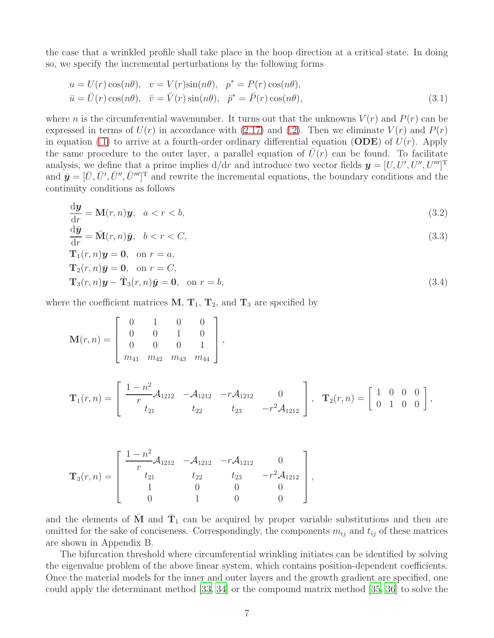the case that a wrinkled profile shall take place in the hoop direction at a critical state. In doing so, we specify the incremental perturbations by the following forms

$$
u = U(r) \cos(n\theta), \quad v = V(r) \sin(n\theta), \quad p^* = P(r) \cos(n\theta),
$$
  
\n
$$
\bar{u} = \bar{U}(r) \cos(n\theta), \quad \bar{v} = \bar{V}(r) \sin(n\theta), \quad \bar{p}^* = \bar{P}(r) \cos(n\theta),
$$
\n(3.1)

where *n* is the circumferential wavenumber. It turns out that the unknowns  $V(r)$  and  $P(r)$  can be expressed in terms of  $U(r)$  in accordance with [\(2.17\)](#page-5-1) and [\(.2\)](#page-16-0). Then we eliminate  $V(r)$  and  $P(r)$ in equation [\(.1\)](#page-16-1) to arrive at a fourth-order ordinary differential equation (ODE) of  $U(r)$ . Apply the same procedure to the outer layer, a parallel equation of  $U(r)$  can be found. To facilitate analysis, we define that a prime implies  $d/dr$  and introduce two vector fields  $\mathbf{y} = [U, U', U'', U'']^{\mathrm{T}}$ and  $\bar{\mathbf{y}} = [\bar{U}, \bar{U}', \bar{U}'', \bar{U}''']^T$  and rewrite the incremental equations, the boundary conditions and the continuity conditions as follows

<span id="page-6-0"></span>
$$
\frac{\mathrm{d}\boldsymbol{y}}{\mathrm{d}r} = \mathbf{M}(r,n)\boldsymbol{y}, \quad a < r < b,\tag{3.2}
$$

$$
\frac{\mathrm{d}\bar{y}}{\mathrm{d}r} = \bar{\mathbf{M}}(r,n)\bar{y}, \quad b < r < C,\tag{3.3}
$$

<span id="page-6-1"></span>
$$
\mathbf{T}_1(r,n)\mathbf{y} = \mathbf{0}, \text{ on } r = a,
$$
  
\n
$$
\mathbf{T}_2(r,n)\bar{\mathbf{y}} = \mathbf{0}, \text{ on } r = C,
$$
  
\n
$$
\mathbf{T}_3(r,n)\mathbf{y} - \bar{\mathbf{T}}_3(r,n)\bar{\mathbf{y}} = \mathbf{0}, \text{ on } r = b,
$$
\n(3.4)

where the coefficient matrices  $M, T_1, T_2$ , and  $T_3$  are specified by

$$
\mathbf{M}(r,n) = \left[ \begin{array}{cccc} 0 & 1 & 0 & 0 \\ 0 & 0 & 1 & 0 \\ 0 & 0 & 0 & 1 \\ m_{41} & m_{42} & m_{43} & m_{44} \end{array} \right],
$$

$$
\mathbf{T}_1(r,n) = \begin{bmatrix} \frac{1-n^2}{r} \mathcal{A}_{1212} & -\mathcal{A}_{1212} & -r \mathcal{A}_{1212} & 0 \\ t_{21} & t_{22} & t_{23} & -r^2 \mathcal{A}_{1212} \end{bmatrix}, \quad \mathbf{T}_2(r,n) = \begin{bmatrix} 1 & 0 & 0 & 0 \\ 0 & 1 & 0 & 0 \end{bmatrix},
$$

$$
\mathbf{T}_{3}(r,n) = \begin{bmatrix} \frac{1-n^2}{r} \mathcal{A}_{1212} & -\mathcal{A}_{1212} & -r \mathcal{A}_{1212} & 0 \\ t_{21} & t_{22} & t_{23} & -r^2 \mathcal{A}_{1212} \\ 1 & 0 & 0 & 0 \\ 0 & 1 & 0 & 0 \end{bmatrix},
$$

and the elements of  $\bar{M}$  and  $\bar{T}_1$  can be acquired by proper variable substitutions and then are omitted for the sake of conciseness. Correspondingly, the components  $m_{ij}$  and  $t_{ij}$  of these matrices are shown in Appendix B.

The bifurcation threshold where circumferential wrinkling initiates can be identified by solving the eigenvalue problem of the above linear system, which contains position-dependent coefficients. Once the material models for the inner and outer layers and the growth gradient are specified, one could apply the determinant method [\[33,](#page-19-8) [34](#page-19-9)] or the compound matrix method [\[35,](#page-19-10) [36](#page-19-11)] to solve the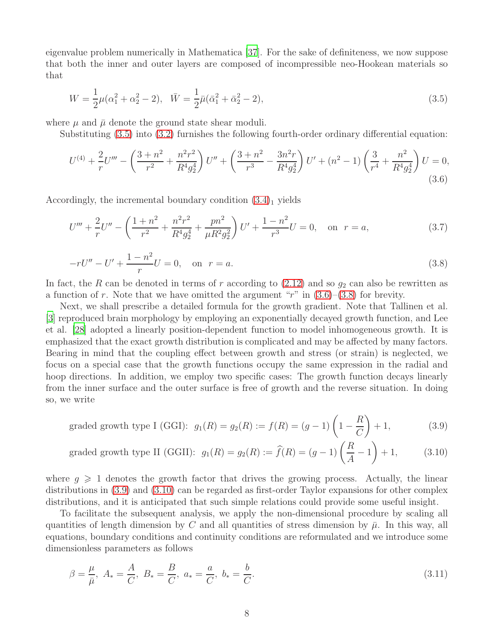eigenvalue problem numerically in Mathematica [\[37](#page-19-12)]. For the sake of definiteness, we now suppose that both the inner and outer layers are composed of incompressible neo-Hookean materials so that

<span id="page-7-0"></span>
$$
W = \frac{1}{2}\mu(\alpha_1^2 + \alpha_2^2 - 2), \quad \bar{W} = \frac{1}{2}\bar{\mu}(\bar{\alpha}_1^2 + \bar{\alpha}_2^2 - 2),\tag{3.5}
$$

where  $\mu$  and  $\bar{\mu}$  denote the ground state shear moduli.

Substituting [\(3.5\)](#page-7-0) into [\(3.2\)](#page-6-0) furnishes the following fourth-order ordinary differential equation:

<span id="page-7-1"></span>
$$
U^{(4)} + \frac{2}{r}U''' - \left(\frac{3+n^2}{r^2} + \frac{n^2r^2}{R^4g_2^4}\right)U'' + \left(\frac{3+n^2}{r^3} - \frac{3n^2r}{R^4g_2^4}\right)U' + (n^2 - 1)\left(\frac{3}{r^4} + \frac{n^2}{R^4g_2^4}\right)U = 0,
$$
\n(3.6)

Accordingly, the incremental boundary condition  $(3.4)<sub>1</sub>$  yields

$$
U''' + \frac{2}{r}U'' - \left(\frac{1+n^2}{r^2} + \frac{n^2r^2}{R^4g_2^4} + \frac{pn^2}{\mu R^2g_2^2}\right)U' + \frac{1-n^2}{r^3}U = 0, \text{ on } r = a,
$$
\n(3.7)

<span id="page-7-2"></span>
$$
-rU'' - U' + \frac{1 - n^2}{r}U = 0, \quad \text{on } r = a.
$$
\n(3.8)

In fact, the R can be denoted in terms of r according to  $(2.12)$  and so  $g_2$  can also be rewritten as a function of r. Note that we have omitted the argument "r" in  $(3.6)$ – $(3.8)$  for brevity.

Next, we shall prescribe a detailed formula for the growth gradient. Note that Tallinen et al. [\[3\]](#page-17-2) reproduced brain morphology by employing an exponentially decayed growth function, and Lee et al. [\[28\]](#page-19-3) adopted a linearly position-dependent function to model inhomogeneous growth. It is emphasized that the exact growth distribution is complicated and may be affected by many factors. Bearing in mind that the coupling effect between growth and stress (or strain) is neglected, we focus on a special case that the growth functions occupy the same expression in the radial and hoop directions. In addition, we employ two specific cases: The growth function decays linearly from the inner surface and the outer surface is free of growth and the reverse situation. In doing so, we write

<span id="page-7-3"></span>graded growth type I (GGI): 
$$
g_1(R) = g_2(R) := f(R) = (g-1)\left(1 - \frac{R}{C}\right) + 1,
$$
 (3.9)

<span id="page-7-4"></span>graded growth type II (GGII): 
$$
g_1(R) = g_2(R) := \hat{f}(R) = (g-1)\left(\frac{R}{A} - 1\right) + 1,
$$
 (3.10)

where  $g \geqslant 1$  denotes the growth factor that drives the growing process. Actually, the linear distributions in [\(3.9\)](#page-7-3) and [\(3.10\)](#page-7-4) can be regarded as first-order Taylor expansions for other complex distributions, and it is anticipated that such simple relations could provide some useful insight.

To facilitate the subsequent analysis, we apply the non-dimensional procedure by scaling all quantities of length dimension by C and all quantities of stress dimension by  $\bar{\mu}$ . In this way, all equations, boundary conditions and continuity conditions are reformulated and we introduce some dimensionless parameters as follows

$$
\beta = \frac{\mu}{\bar{\mu}}, \ A_* = \frac{A}{C}, \ B_* = \frac{B}{C}, \ a_* = \frac{a}{C}, \ b_* = \frac{b}{C}.
$$
\n(3.11)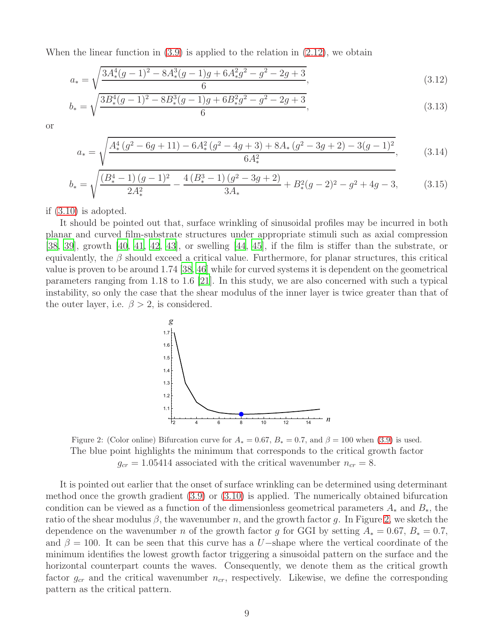When the linear function in  $(3.9)$  is applied to the relation in  $(2.12)$ , we obtain

$$
a_* = \sqrt{\frac{3A_*^4(g-1)^2 - 8A_*^3(g-1)g + 6A_*^2g^2 - g^2 - 2g + 3}{6}},\tag{3.12}
$$

$$
b_* = \sqrt{\frac{3B_*^4(g-1)^2 - 8B_*^3(g-1)g + 6B_*^2g^2 - g^2 - 2g + 3}{6}},\tag{3.13}
$$

or

$$
a_* = \sqrt{\frac{A_*^4 (g^2 - 6g + 11) - 6A_*^2 (g^2 - 4g + 3) + 8A_* (g^2 - 3g + 2) - 3(g - 1)^2}{6A_*^2}},
$$
(3.14)

$$
b_* = \sqrt{\frac{\left(B_*^4 - 1\right)(g - 1)^2}{2A_*^2} - \frac{4\left(B_*^3 - 1\right)(g^2 - 3g + 2)}{3A_*} + B_*^2(g - 2)^2 - g^2 + 4g - 3},\tag{3.15}
$$

if [\(3.10\)](#page-7-4) is adopted.

It should be pointed out that, surface wrinkling of sinusoidal profiles may be incurred in both planar and curved film-substrate structures under appropriate stimuli such as axial compression [\[38,](#page-19-13) [39\]](#page-19-14), growth [\[40](#page-19-15), [41](#page-19-16), [42](#page-19-17), [43\]](#page-20-0), or swelling [\[44,](#page-20-1) [45\]](#page-20-2), if the film is stiffer than the substrate, or equivalently, the  $\beta$  should exceed a critical value. Furthermore, for planar structures, this critical value is proven to be around 1.74 [\[38,](#page-19-13) [46\]](#page-20-3) while for curved systems it is dependent on the geometrical parameters ranging from 1.18 to 1.6 [\[21\]](#page-18-13). In this study, we are also concerned with such a typical instability, so only the case that the shear modulus of the inner layer is twice greater than that of the outer layer, i.e.  $\beta > 2$ , is considered.



<span id="page-8-0"></span>Figure 2: (Color online) Bifurcation curve for  $A_* = 0.67$ ,  $B_* = 0.7$ , and  $\beta = 100$  when [\(3.9\)](#page-7-3) is used. The blue point highlights the minimum that corresponds to the critical growth factor  $g_{cr} = 1.05414$  associated with the critical wavenumber  $n_{cr} = 8$ .

It is pointed out earlier that the onset of surface wrinkling can be determined using determinant method once the growth gradient [\(3.9\)](#page-7-3) or [\(3.10\)](#page-7-4) is applied. The numerically obtained bifurcation condition can be viewed as a function of the dimensionless geometrical parameters  $A_*$  and  $B_*$ , the ratio of the shear modulus  $\beta$ , the wavenumber n, and the growth factor g. In Figure [2,](#page-8-0) we sketch the dependence on the wavenumber n of the growth factor g for GGI by setting  $A_* = 0.67$ ,  $B_* = 0.7$ , and  $\beta = 100$ . It can be seen that this curve has a U–shape where the vertical coordinate of the minimum identifies the lowest growth factor triggering a sinusoidal pattern on the surface and the horizontal counterpart counts the waves. Consequently, we denote them as the critical growth factor  $g_{cr}$  and the critical wavenumber  $n_{cr}$ , respectively. Likewise, we define the corresponding pattern as the critical pattern.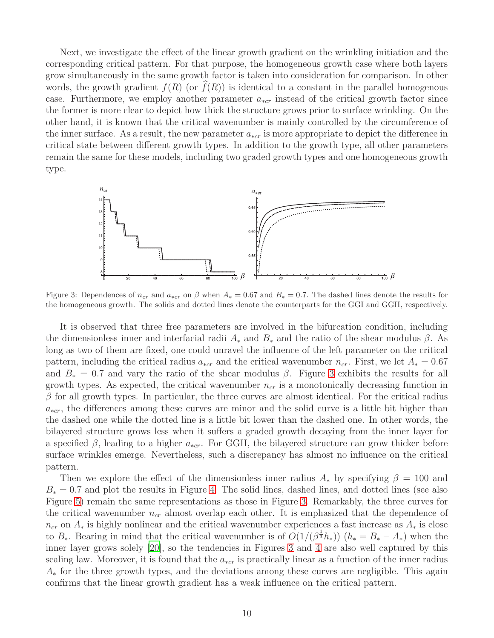Next, we investigate the effect of the linear growth gradient on the wrinkling initiation and the corresponding critical pattern. For that purpose, the homogeneous growth case where both layers grow simultaneously in the same growth factor is taken into consideration for comparison. In other words, the growth gradient  $f(R)$  (or  $f(R)$ ) is identical to a constant in the parallel homogenous case. Furthermore, we employ another parameter  $a_{*cr}$  instead of the critical growth factor since the former is more clear to depict how thick the structure grows prior to surface wrinkling. On the other hand, it is known that the critical wavenumber is mainly controlled by the circumference of the inner surface. As a result, the new parameter  $a_{*cr}$  is more appropriate to depict the difference in critical state between different growth types. In addition to the growth type, all other parameters remain the same for these models, including two graded growth types and one homogeneous growth type.



<span id="page-9-0"></span>Figure 3: Dependences of  $n_{cr}$  and  $a_{*cr}$  on  $\beta$  when  $A_*=0.67$  and  $B_*=0.7$ . The dashed lines denote the results for the homogeneous growth. The solids and dotted lines denote the counterparts for the GGI and GGII, respectively.

It is observed that three free parameters are involved in the bifurcation condition, including the dimensionless inner and interfacial radii  $A_*$  and  $B_*$  and the ratio of the shear modulus  $\beta$ . As long as two of them are fixed, one could unravel the influence of the left parameter on the critical pattern, including the critical radius  $a_{*cr}$  and the critical wavenumber  $n_{cr}$ . First, we let  $A_* = 0.67$ and  $B_* = 0.7$  and vary the ratio of the shear modulus  $\beta$ . Figure [3](#page-9-0) exhibits the results for all growth types. As expected, the critical wavenumber  $n_{cr}$  is a monotonically decreasing function in  $\beta$  for all growth types. In particular, the three curves are almost identical. For the critical radius  $a_{*cr}$ , the differences among these curves are minor and the solid curve is a little bit higher than the dashed one while the dotted line is a little bit lower than the dashed one. In other words, the bilayered structure grows less when it suffers a graded growth decaying from the inner layer for a specified  $\beta$ , leading to a higher  $a_{*cr}$ . For GGII, the bilayered structure can grow thicker before surface wrinkles emerge. Nevertheless, such a discrepancy has almost no influence on the critical pattern.

Then we explore the effect of the dimensionless inner radius  $A_*$  by specifying  $\beta = 100$  and  $B_* = 0.7$  and plot the results in Figure [4.](#page-10-0) The solid lines, dashed lines, and dotted lines (see also Figure [5\)](#page-10-1) remain the same representations as those in Figure [3.](#page-9-0) Remarkably, the three curves for the critical wavenumber  $n_{cr}$  almost overlap each other. It is emphasized that the dependence of  $n_{cr}$  on  $A_*$  is highly nonlinear and the critical wavenumber experiences a fast increase as  $A_*$  is close to  $B_*$ . Bearing in mind that the critical wavenumber is of  $O(1/(\beta^{\frac{1}{3}}h_*))$   $(h_* = B_* - A_*)$  when the inner layer grows solely [\[20](#page-18-12)], so the tendencies in Figures [3](#page-9-0) and [4](#page-10-0) are also well captured by this scaling law. Moreover, it is found that the  $a_{*cr}$  is practically linear as a function of the inner radius  $A_{*}$  for the three growth types, and the deviations among these curves are negligible. This again confirms that the linear growth gradient has a weak influence on the critical pattern.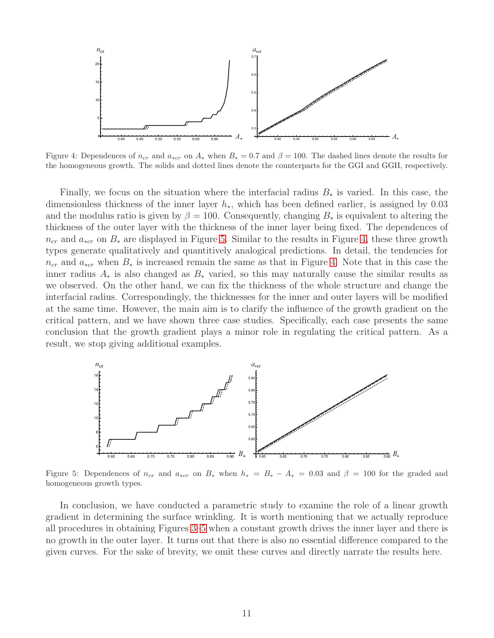

<span id="page-10-0"></span>Figure 4: Dependences of  $n_{cr}$  and  $a_{*cr}$  on  $A_*$  when  $B_* = 0.7$  and  $\beta = 100$ . The dashed lines denote the results for the homogeneous growth. The solids and dotted lines denote the counterparts for the GGI and GGII, respectively.

Finally, we focus on the situation where the interfacial radius  $B_*$  is varied. In this case, the dimensionless thickness of the inner layer  $h_*$ , which has been defined earlier, is assigned by 0.03 and the modulus ratio is given by  $\beta = 100$ . Consequently, changing  $B_*$  is equivalent to altering the thickness of the outer layer with the thickness of the inner layer being fixed. The dependences of  $n_{cr}$  and  $a_{*cr}$  on  $B_*$  are displayed in Figure [5.](#page-10-1) Similar to the results in Figure [4,](#page-10-0) these three growth types generate qualitatively and quantitively analogical predictions. In detail, the tendencies for  $n_{cr}$  and  $a_{*cr}$  when  $B_*$  is increased remain the same as that in Figure [4.](#page-10-0) Note that in this case the inner radius  $A_*$  is also changed as  $B_*$  varied, so this may naturally cause the similar results as we observed. On the other hand, we can fix the thickness of the whole structure and change the interfacial radius. Correspondingly, the thicknesses for the inner and outer layers will be modified at the same time. However, the main aim is to clarify the influence of the growth gradient on the critical pattern, and we have shown three case studies. Specifically, each case presents the same conclusion that the growth gradient plays a minor role in regulating the critical pattern. As a result, we stop giving additional examples.



<span id="page-10-1"></span>Figure 5: Dependences of  $n_{cr}$  and  $a_{*cr}$  on  $B_*$  when  $h_* = B_* - A_* = 0.03$  and  $\beta = 100$  for the graded and homogeneous growth types.

In conclusion, we have conducted a parametric study to examine the role of a linear growth gradient in determining the surface wrinkling. It is worth mentioning that we actually reproduce all procedures in obtaining Figures [3](#page-9-0)[–5](#page-10-1) when a constant growth drives the inner layer and there is no growth in the outer layer. It turns out that there is also no essential difference compared to the given curves. For the sake of brevity, we omit these curves and directly narrate the results here.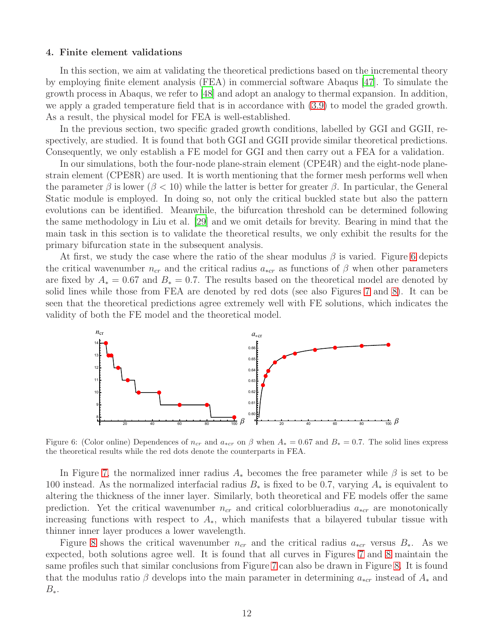#### 4. Finite element validations

In this section, we aim at validating the theoretical predictions based on the incremental theory by employing finite element analysis (FEA) in commercial software Abaqus [\[47](#page-20-4)]. To simulate the growth process in Abaqus, we refer to [\[48](#page-20-5)] and adopt an analogy to thermal expansion. In addition, we apply a graded temperature field that is in accordance with [\(3.9\)](#page-7-3) to model the graded growth. As a result, the physical model for FEA is well-established.

In the previous section, two specific graded growth conditions, labelled by GGI and GGII, respectively, are studied. It is found that both GGI and GGII provide similar theoretical predictions. Consequently, we only establish a FE model for GGI and then carry out a FEA for a validation.

In our simulations, both the four-node plane-strain element (CPE4R) and the eight-node planestrain element (CPE8R) are used. It is worth mentioning that the former mesh performs well when the parameter  $\beta$  is lower ( $\beta$  < 10) while the latter is better for greater  $\beta$ . In particular, the General Static module is employed. In doing so, not only the critical buckled state but also the pattern evolutions can be identified. Meanwhile, the bifurcation threshold can be determined following the same methodology in Liu et al. [\[29](#page-19-4)] and we omit details for brevity. Bearing in mind that the main task in this section is to validate the theoretical results, we only exhibit the results for the primary bifurcation state in the subsequent analysis.

At first, we study the case where the ratio of the shear modulus  $\beta$  is varied. Figure [6](#page-11-0) depicts the critical wavenumber  $n_{cr}$  and the critical radius  $a_{*cr}$  as functions of  $\beta$  when other parameters are fixed by  $A_* = 0.67$  and  $B_* = 0.7$ . The results based on the theoretical model are denoted by solid lines while those from FEA are denoted by red dots (see also Figures [7](#page-12-0) and [8\)](#page-12-1). It can be seen that the theoretical predictions agree extremely well with FE solutions, which indicates the validity of both the FE model and the theoretical model.



<span id="page-11-0"></span>Figure 6: (Color online) Dependences of  $n_{cr}$  and  $a_{*cr}$  on  $\beta$  when  $A_* = 0.67$  and  $B_* = 0.7$ . The solid lines express the theoretical results while the red dots denote the counterparts in FEA.

In Figure [7,](#page-12-0) the normalized inner radius  $A_*$  becomes the free parameter while  $\beta$  is set to be 100 instead. As the normalized interfacial radius  $B_*$  is fixed to be 0.7, varying  $A_*$  is equivalent to altering the thickness of the inner layer. Similarly, both theoretical and FE models offer the same prediction. Yet the critical wavenumber  $n_{cr}$  and critical colorblueradius  $a_{*cr}$  are monotonically increasing functions with respect to  $A_{\ast}$ , which manifests that a bilayered tubular tissue with thinner inner layer produces a lower wavelength.

Figure [8](#page-12-1) shows the critical wavenumber  $n_{cr}$  and the critical radius  $a_{*cr}$  versus  $B_*$ . As we expected, both solutions agree well. It is found that all curves in Figures [7](#page-12-0) and [8](#page-12-1) maintain the same profiles such that similar conclusions from Figure [7](#page-12-0) can also be drawn in Figure [8.](#page-12-1) It is found that the modulus ratio  $\beta$  develops into the main parameter in determining  $a_{*cr}$  instead of  $A_*$  and  $B_*$ .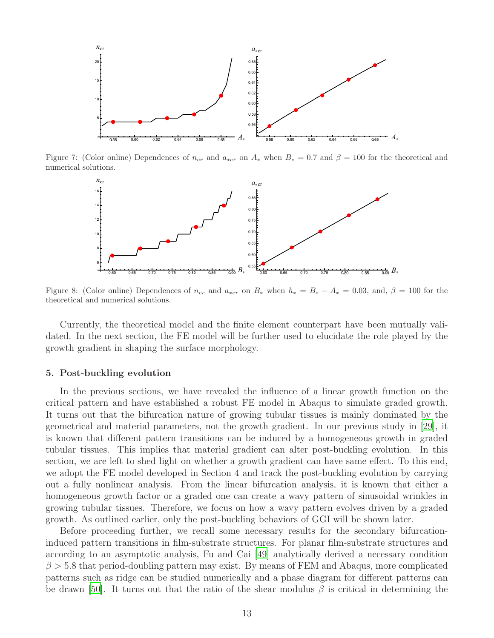

Figure 7: (Color online) Dependences of  $n_{cr}$  and  $a_{*cr}$  on  $A_*$  when  $B_* = 0.7$  and  $\beta = 100$  for the theoretical and numerical solutions.

<span id="page-12-0"></span>

<span id="page-12-1"></span>Figure 8: (Color online) Dependences of  $n_{cr}$  and  $a_{*cr}$  on  $B_*$  when  $h_* = B_* - A_* = 0.03$ , and,  $\beta = 100$  for the theoretical and numerical solutions.

Currently, the theoretical model and the finite element counterpart have been mutually validated. In the next section, the FE model will be further used to elucidate the role played by the growth gradient in shaping the surface morphology.

#### 5. Post-buckling evolution

In the previous sections, we have revealed the influence of a linear growth function on the critical pattern and have established a robust FE model in Abaqus to simulate graded growth. It turns out that the bifurcation nature of growing tubular tissues is mainly dominated by the geometrical and material parameters, not the growth gradient. In our previous study in [\[29](#page-19-4)], it is known that different pattern transitions can be induced by a homogeneous growth in graded tubular tissues. This implies that material gradient can alter post-buckling evolution. In this section, we are left to shed light on whether a growth gradient can have same effect. To this end, we adopt the FE model developed in Section 4 and track the post-buckling evolution by carrying out a fully nonlinear analysis. From the linear bifurcation analysis, it is known that either a homogeneous growth factor or a graded one can create a wavy pattern of sinusoidal wrinkles in growing tubular tissues. Therefore, we focus on how a wavy pattern evolves driven by a graded growth. As outlined earlier, only the post-buckling behaviors of GGI will be shown later.

Before proceeding further, we recall some necessary results for the secondary bifurcationinduced pattern transitions in film-substrate structures. For planar film-substrate structures and according to an asymptotic analysis, Fu and Cai [\[49\]](#page-20-6) analytically derived a necessary condition  $\beta > 5.8$  that period-doubling pattern may exist. By means of FEM and Abaqus, more complicated patterns such as ridge can be studied numerically and a phase diagram for different patterns can be drawn [\[50\]](#page-20-7). It turns out that the ratio of the shear modulus  $\beta$  is critical in determining the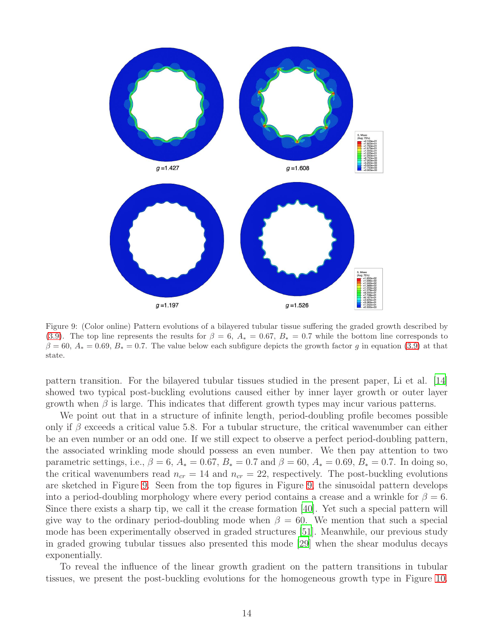

<span id="page-13-0"></span>Figure 9: (Color online) Pattern evolutions of a bilayered tubular tissue suffering the graded growth described by [\(3.9\)](#page-7-3). The top line represents the results for  $\beta = 6$ ,  $A_* = 0.67$ ,  $B_* = 0.7$  while the bottom line corresponds to  $\beta = 60$ ,  $A_* = 0.69$ ,  $B_* = 0.7$ . The value below each subfigure depicts the growth factor g in equation [\(3.9\)](#page-7-3) at that state.

pattern transition. For the bilayered tubular tissues studied in the present paper, Li et al. [\[14\]](#page-18-6) showed two typical post-buckling evolutions caused either by inner layer growth or outer layer growth when  $\beta$  is large. This indicates that different growth types may incur various patterns.

We point out that in a structure of infinite length, period-doubling profile becomes possible only if  $\beta$  exceeds a critical value 5.8. For a tubular structure, the critical wavenumber can either be an even number or an odd one. If we still expect to observe a perfect period-doubling pattern, the associated wrinkling mode should possess an even number. We then pay attention to two parametric settings, i.e.,  $\beta = 6$ ,  $A_* = 0.67$ ,  $B_* = 0.7$  and  $\beta = 60$ ,  $A_* = 0.69$ ,  $B_* = 0.7$ . In doing so, the critical wavenumbers read  $n_{cr} = 14$  and  $n_{cr} = 22$ , respectively. The post-buckling evolutions are sketched in Figure [9.](#page-13-0) Seen from the top figures in Figure [9,](#page-13-0) the sinusoidal pattern develops into a period-doubling morphology where every period contains a crease and a wrinkle for  $\beta = 6$ . Since there exists a sharp tip, we call it the crease formation [\[40](#page-19-15)]. Yet such a special pattern will give way to the ordinary period-doubling mode when  $\beta = 60$ . We mention that such a special mode has been experimentally observed in graded structures [\[51](#page-20-8)]. Meanwhile, our previous study in graded growing tubular tissues also presented this mode [\[29\]](#page-19-4) when the shear modulus decays exponentially.

To reveal the influence of the linear growth gradient on the pattern transitions in tubular tissues, we present the post-buckling evolutions for the homogeneous growth type in Figure [10.](#page-14-0)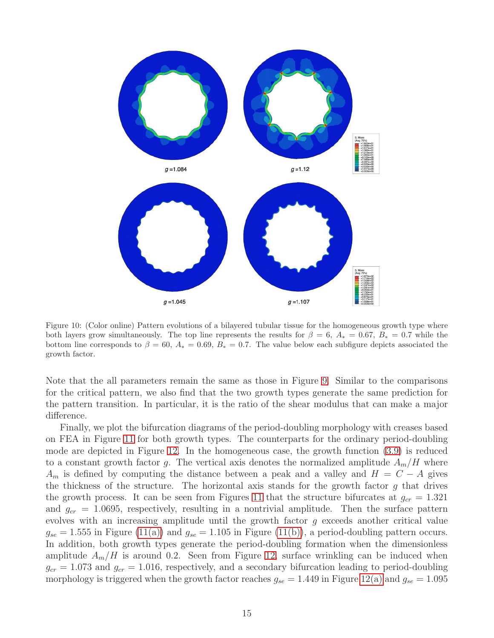

<span id="page-14-0"></span>Figure 10: (Color online) Pattern evolutions of a bilayered tubular tissue for the homogeneous growth type where both layers grow simultaneously. The top line represents the results for  $\beta = 6, A_* = 0.67, B_* = 0.7$  while the bottom line corresponds to  $\beta = 60$ ,  $A_* = 0.69$ ,  $B_* = 0.7$ . The value below each subfigure depicts associated the growth factor.

Note that the all parameters remain the same as those in Figure [9.](#page-13-0) Similar to the comparisons for the critical pattern, we also find that the two growth types generate the same prediction for the pattern transition. In particular, it is the ratio of the shear modulus that can make a major difference.

Finally, we plot the bifurcation diagrams of the period-doubling morphology with creases based on FEA in Figure [11](#page-15-0) for both growth types. The counterparts for the ordinary period-doubling mode are depicted in Figure [12.](#page-15-1) In the homogeneous case, the growth function [\(3.9\)](#page-7-3) is reduced to a constant growth factor g. The vertical axis denotes the normalized amplitude  $A_m/H$  where  $A_m$  is defined by computing the distance between a peak and a valley and  $H = C - A$  gives the thickness of the structure. The horizontal axis stands for the growth factor  $g$  that drives the growth process. It can be seen from Figures [11](#page-15-0) that the structure bifurcates at  $g_{cr} = 1.321$ and  $g_{cr} = 1.0695$ , respectively, resulting in a nontrivial amplitude. Then the surface pattern evolves with an increasing amplitude until the growth factor g exceeds another critical value  $g_{se} = 1.555$  in Figure [\(11\(a\)\)](#page-15-2) and  $g_{se} = 1.105$  in Figure [\(11\(b\)\)](#page-15-3), a period-doubling pattern occurs. In addition, both growth types generate the period-doubling formation when the dimensionless amplitude  $A_m/H$  is around 0.2. Seen from Figure [12,](#page-15-1) surface wrinkling can be induced when  $g_{cr} = 1.073$  and  $g_{cr} = 1.016$ , respectively, and a secondary bifurcation leading to period-doubling morphology is triggered when the growth factor reaches  $g_{se} = 1.449$  in Figure [12\(a\)](#page-15-4) and  $g_{se} = 1.095$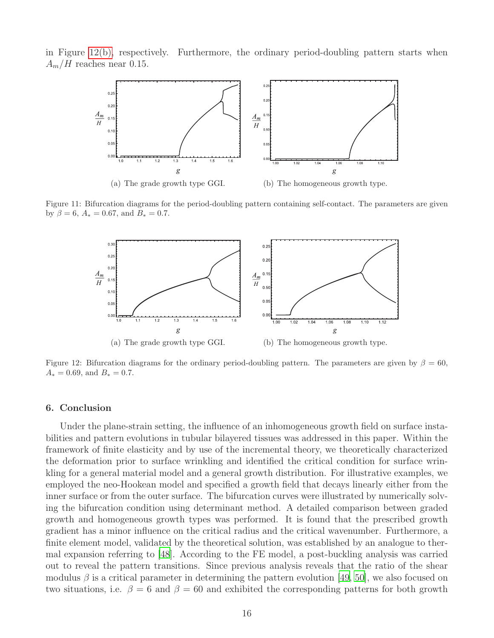<span id="page-15-2"></span>in Figure [12\(b\),](#page-15-5) respectively. Furthermore, the ordinary period-doubling pattern starts when  $A_m/H$  reaches near 0.15.



<span id="page-15-4"></span>Figure 11: Bifurcation diagrams for the period-doubling pattern containing self-contact. The parameters are given by  $\beta = 6$ ,  $A_* = 0.67$ , and  $B_* = 0.7$ .

<span id="page-15-5"></span><span id="page-15-3"></span><span id="page-15-0"></span>

<span id="page-15-1"></span>Figure 12: Bifurcation diagrams for the ordinary period-doubling pattern. The parameters are given by  $\beta = 60$ ,  $A_* = 0.69$ , and  $B_* = 0.7$ .

#### 6. Conclusion

Under the plane-strain setting, the influence of an inhomogeneous growth field on surface instabilities and pattern evolutions in tubular bilayered tissues was addressed in this paper. Within the framework of finite elasticity and by use of the incremental theory, we theoretically characterized the deformation prior to surface wrinkling and identified the critical condition for surface wrinkling for a general material model and a general growth distribution. For illustrative examples, we employed the neo-Hookean model and specified a growth field that decays linearly either from the inner surface or from the outer surface. The bifurcation curves were illustrated by numerically solving the bifurcation condition using determinant method. A detailed comparison between graded growth and homogeneous growth types was performed. It is found that the prescribed growth gradient has a minor influence on the critical radius and the critical wavenumber. Furthermore, a finite element model, validated by the theoretical solution, was established by an analogue to thermal expansion referring to [\[48\]](#page-20-5). According to the FE model, a post-buckling analysis was carried out to reveal the pattern transitions. Since previous analysis reveals that the ratio of the shear modulus  $\beta$  is a critical parameter in determining the pattern evolution [\[49](#page-20-6), [50\]](#page-20-7), we also focused on two situations, i.e.  $\beta = 6$  and  $\beta = 60$  and exhibited the corresponding patterns for both growth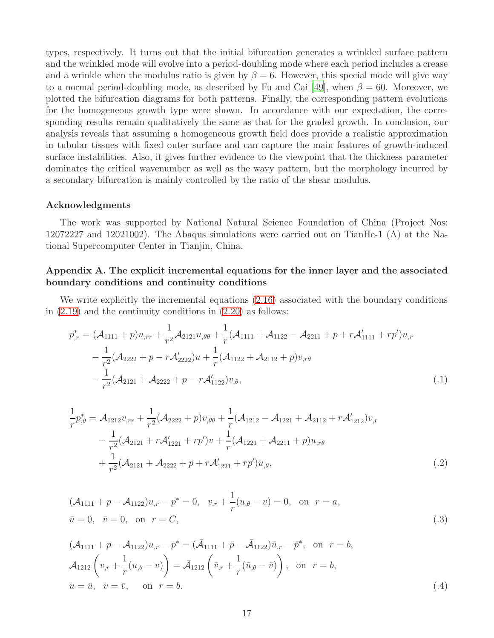types, respectively. It turns out that the initial bifurcation generates a wrinkled surface pattern and the wrinkled mode will evolve into a period-doubling mode where each period includes a crease and a wrinkle when the modulus ratio is given by  $\beta = 6$ . However, this special mode will give way to a normal period-doubling mode, as described by Fu and Cai [\[49\]](#page-20-6), when  $\beta = 60$ . Moreover, we plotted the bifurcation diagrams for both patterns. Finally, the corresponding pattern evolutions for the homogeneous growth type were shown. In accordance with our expectation, the corresponding results remain qualitatively the same as that for the graded growth. In conclusion, our analysis reveals that assuming a homogeneous growth field does provide a realistic approximation in tubular tissues with fixed outer surface and can capture the main features of growth-induced surface instabilities. Also, it gives further evidence to the viewpoint that the thickness parameter dominates the critical wavenumber as well as the wavy pattern, but the morphology incurred by a secondary bifurcation is mainly controlled by the ratio of the shear modulus.

#### Acknowledgments

The work was supported by National Natural Science Foundation of China (Project Nos: 12072227 and 12021002). The Abaqus simulations were carried out on TianHe-1 (A) at the National Supercomputer Center in Tianjin, China.

# Appendix A. The explicit incremental equations for the inner layer and the associated boundary conditions and continuity conditions

We write explicitly the incremental equations  $(2.16)$  associated with the boundary conditions in  $(2.19)$  and the continuity conditions in  $(2.20)$  as follows:

$$
p_{,r}^{*} = (\mathcal{A}_{1111} + p)u_{,rr} + \frac{1}{r^{2}}\mathcal{A}_{2121}u_{,\theta\theta} + \frac{1}{r}(\mathcal{A}_{1111} + \mathcal{A}_{1122} - \mathcal{A}_{2211} + p + r\mathcal{A}'_{1111} + rp')u_{,r} - \frac{1}{r^{2}}(\mathcal{A}_{2222} + p - r\mathcal{A}'_{2222})u + \frac{1}{r}(\mathcal{A}_{1122} + \mathcal{A}_{2112} + p)v_{,r\theta} - \frac{1}{r^{2}}(\mathcal{A}_{2121} + \mathcal{A}_{2222} + p - r\mathcal{A}'_{1122})v_{,\theta},
$$
\n(.1)

<span id="page-16-1"></span>
$$
\frac{1}{r}p_{,\theta}^* = \mathcal{A}_{1212}v_{,rr} + \frac{1}{r^2}(\mathcal{A}_{2222} + p)v_{,\theta\theta} + \frac{1}{r}(\mathcal{A}_{1212} - \mathcal{A}_{1221} + \mathcal{A}_{2112} + r\mathcal{A}'_{1212})v_{,r} \n- \frac{1}{r^2}(\mathcal{A}_{2121} + r\mathcal{A}'_{1221} + rp')v + \frac{1}{r}(\mathcal{A}_{1221} + \mathcal{A}_{2211} + p)u_{,r\theta} \n+ \frac{1}{r^2}(\mathcal{A}_{2121} + \mathcal{A}_{2222} + p + r\mathcal{A}'_{1221} + rp')u_{,\theta},
$$
\n(.2)

<span id="page-16-0"></span>
$$
(\mathcal{A}_{1111} + p - \mathcal{A}_{1122})u_{,r} - p^* = 0, \quad v_{,r} + \frac{1}{r}(u_{,\theta} - v) = 0, \quad \text{on } r = a,
$$
  
\n $\bar{u} = 0, \quad \bar{v} = 0, \quad \text{on } r = C,$ \n(3)

$$
(\mathcal{A}_{1111} + p - \mathcal{A}_{1122})u_{,r} - p^* = (\bar{\mathcal{A}}_{1111} + \bar{p} - \bar{\mathcal{A}}_{1122})\bar{u}_{,r} - \bar{p}^*, \text{ on } r = b,\n\mathcal{A}_{1212}\left(v_{,r} + \frac{1}{r}(u_{,\theta} - v)\right) = \bar{\mathcal{A}}_{1212}\left(\bar{v}_{,r} + \frac{1}{r}(\bar{u}_{,\theta} - \bar{v})\right), \text{ on } r = b,\nu = \bar{u}, v = \bar{v}, \text{ on } r = b.
$$
\n(.4)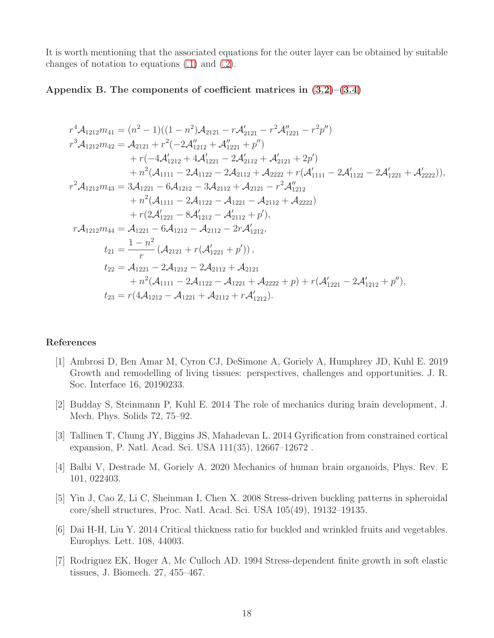It is worth mentioning that the associated equations for the outer layer can be obtained by suitable changes of notation to equations [\(.1\)](#page-16-1) and [\(.2\)](#page-16-0).

### Appendix B. The components of coefficient matrices in  $(3.2)$ – $(3.4)$

$$
r^{4}\mathcal{A}_{1212}m_{41} = (n^{2} - 1)((1 - n^{2})\mathcal{A}_{2121} - r\mathcal{A}'_{2121} - r^{2}\mathcal{A}''_{1221} - r^{2}p'')
$$
  
\n
$$
r^{3}\mathcal{A}_{1212}m_{42} = \mathcal{A}_{2121} + r^{2}(-2\mathcal{A}''_{1212} + \mathcal{A}''_{1221} + p'')
$$
  
\n
$$
+ r(-4\mathcal{A}'_{1212} + 4\mathcal{A}'_{1221} - 2\mathcal{A}'_{2112} + \mathcal{A}'_{2121} + 2p')
$$
  
\n
$$
+ n^{2}(\mathcal{A}_{1111} - 2\mathcal{A}_{1122} - 2\mathcal{A}_{2112} + \mathcal{A}_{2222} + r(\mathcal{A}'_{1111} - 2\mathcal{A}'_{1122} - 2\mathcal{A}'_{1221} + \mathcal{A}'_{2222})),
$$
  
\n
$$
r^{2}\mathcal{A}_{1212}m_{43} = 3\mathcal{A}_{1221} - 6\mathcal{A}_{1212} - 3\mathcal{A}_{2112} + \mathcal{A}_{2121} - r^{2}\mathcal{A}''_{1212}
$$
  
\n
$$
+ r(2\mathcal{A}'_{1211} - 2\mathcal{A}_{1122} - \mathcal{A}_{1221} - \mathcal{A}_{2112} + \mathcal{A}_{2222})
$$
  
\n
$$
+ r(2\mathcal{A}'_{1221} - 8\mathcal{A}'_{1212} - \mathcal{A}'_{2112} + p'),
$$
  
\n
$$
r\mathcal{A}_{1212}m_{44} = \mathcal{A}_{1221} - 6\mathcal{A}_{1212} - \mathcal{A}_{2112} - 2r\mathcal{A}'_{1212},
$$
  
\n
$$
t_{21} = \frac{1 - n^{2}}{r}(\mathcal{A}_{2121} + r(\mathcal{A}'_{1221} + p')),
$$
  
\n
$$
t_{2
$$

#### References

- <span id="page-17-0"></span>[1] Ambrosi D, Ben Amar M, Cyron CJ, DeSimone A, Goriely A, Humphrey JD, Kuhl E. 2019 Growth and remodelling of living tissues: perspectives, challenges and opportunities. J. R. Soc. Interface 16, 20190233.
- <span id="page-17-1"></span>[2] Budday S, Steinmann P, Kuhl E. 2014 The role of mechanics during brain development, J. Mech. Phys. Solids 72, 75–92.
- <span id="page-17-2"></span>[3] Tallinen T, Chung JY, Biggins JS, Mahadevan L. 2014 Gyrification from constrained cortical expansion, P. Natl. Acad. Sci. USA 111(35), 12667–12672 .
- <span id="page-17-3"></span>[4] Balbi V, Destrade M, Goriely A. 2020 Mechanics of human brain organoids, Phys. Rev. E 101, 022403.
- <span id="page-17-4"></span>[5] Yin J, Cao Z, Li C, Sheinman I, Chen X. 2008 Stress-driven buckling patterns in spheroidal core/shell structures, Proc. Natl. Acad. Sci. USA 105(49), 19132–19135.
- <span id="page-17-5"></span>[6] Dai H-H, Liu Y. 2014 Critical thickness ratio for buckled and wrinkled fruits and vegetables. Europhys. Lett. 108, 44003.
- <span id="page-17-6"></span>[7] Rodriguez EK, Hoger A, Mc Culloch AD. 1994 Stress-dependent finite growth in soft elastic tissues, J. Biomech. 27, 455–467.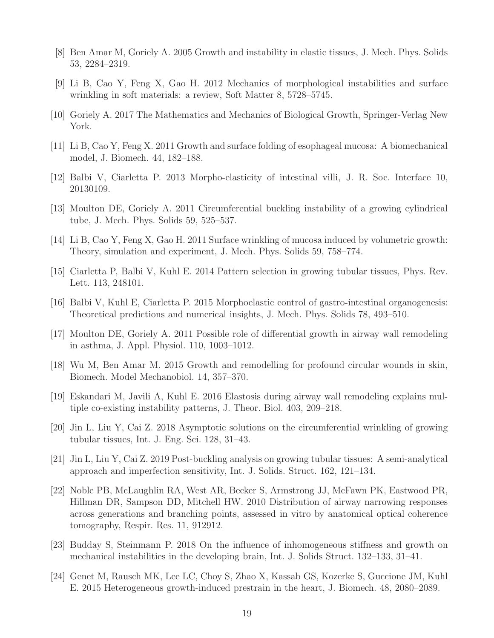- <span id="page-18-0"></span>[8] Ben Amar M, Goriely A. 2005 Growth and instability in elastic tissues, J. Mech. Phys. Solids 53, 2284–2319.
- <span id="page-18-1"></span>[9] Li B, Cao Y, Feng X, Gao H. 2012 Mechanics of morphological instabilities and surface wrinkling in soft materials: a review, Soft Matter 8, 5728–5745.
- <span id="page-18-2"></span>[10] Goriely A. 2017 The Mathematics and Mechanics of Biological Growth, Springer-Verlag New York.
- <span id="page-18-3"></span>[11] Li B, Cao Y, Feng X. 2011 Growth and surface folding of esophageal mucosa: A biomechanical model, J. Biomech. 44, 182–188.
- <span id="page-18-4"></span>[12] Balbi V, Ciarletta P. 2013 Morpho-elasticity of intestinal villi, J. R. Soc. Interface 10, 20130109.
- <span id="page-18-5"></span>[13] Moulton DE, Goriely A. 2011 Circumferential buckling instability of a growing cylindrical tube, J. Mech. Phys. Solids 59, 525–537.
- <span id="page-18-6"></span>[14] Li B, Cao Y, Feng X, Gao H. 2011 Surface wrinkling of mucosa induced by volumetric growth: Theory, simulation and experiment, J. Mech. Phys. Solids 59, 758–774.
- <span id="page-18-7"></span>[15] Ciarletta P, Balbi V, Kuhl E. 2014 Pattern selection in growing tubular tissues, Phys. Rev. Lett. 113, 248101.
- <span id="page-18-8"></span>[16] Balbi V, Kuhl E, Ciarletta P. 2015 Morphoelastic control of gastro-intestinal organogenesis: Theoretical predictions and numerical insights, J. Mech. Phys. Solids 78, 493–510.
- <span id="page-18-9"></span>[17] Moulton DE, Goriely A. 2011 Possible role of differential growth in airway wall remodeling in asthma, J. Appl. Physiol. 110, 1003–1012.
- <span id="page-18-10"></span>[18] Wu M, Ben Amar M. 2015 Growth and remodelling for profound circular wounds in skin, Biomech. Model Mechanobiol. 14, 357–370.
- <span id="page-18-11"></span>[19] Eskandari M, Javili A, Kuhl E. 2016 Elastosis during airway wall remodeling explains multiple co-existing instability patterns, J. Theor. Biol. 403, 209–218.
- <span id="page-18-12"></span>[20] Jin L, Liu Y, Cai Z. 2018 Asymptotic solutions on the circumferential wrinkling of growing tubular tissues, Int. J. Eng. Sci. 128, 31–43.
- <span id="page-18-13"></span>[21] Jin L, Liu Y, Cai Z. 2019 Post-buckling analysis on growing tubular tissues: A semi-analytical approach and imperfection sensitivity, Int. J. Solids. Struct. 162, 121–134.
- <span id="page-18-14"></span>[22] Noble PB, McLaughlin RA, West AR, Becker S, Armstrong JJ, McFawn PK, Eastwood PR, Hillman DR, Sampson DD, Mitchell HW. 2010 Distribution of airway narrowing responses across generations and branching points, assessed in vitro by anatomical optical coherence tomography, Respir. Res. 11, 912912.
- <span id="page-18-15"></span>[23] Budday S, Steinmann P. 2018 On the influence of inhomogeneous stiffness and growth on mechanical instabilities in the developing brain, Int. J. Solids Struct. 132–133, 31–41.
- <span id="page-18-16"></span>[24] Genet M, Rausch MK, Lee LC, Choy S, Zhao X, Kassab GS, Kozerke S, Guccione JM, Kuhl E. 2015 Heterogeneous growth-induced prestrain in the heart, J. Biomech. 48, 2080–2089.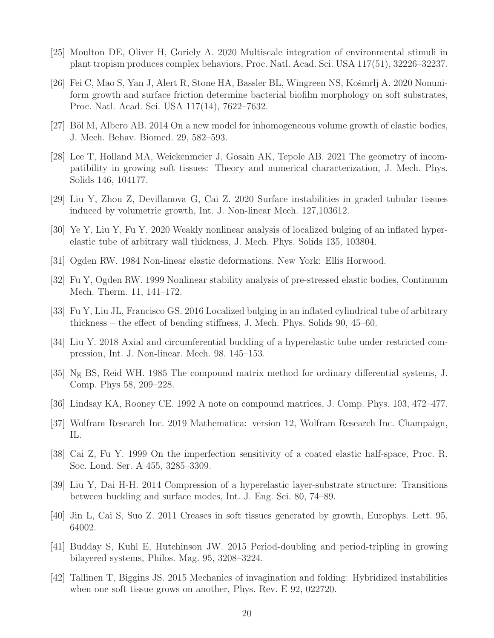- <span id="page-19-0"></span>[25] Moulton DE, Oliver H, Goriely A. 2020 Multiscale integration of environmental stimuli in plant tropism produces complex behaviors, Proc. Natl. Acad. Sci. USA 117(51), 32226–32237.
- <span id="page-19-1"></span>[26] Fei C, Mao S, Yan J, Alert R, Stone HA, Bassler BL, Wingreen NS, Košmrlj A. 2020 Nonuniform growth and surface friction determine bacterial biofilm morphology on soft substrates, Proc. Natl. Acad. Sci. USA 117(14), 7622–7632.
- <span id="page-19-2"></span>[27] Böl M, Albero AB. 2014 On a new model for inhomogeneous volume growth of elastic bodies, J. Mech. Behav. Biomed. 29, 582–593.
- <span id="page-19-3"></span>[28] Lee T, Holland MA, Weickenmeier J, Gosain AK, Tepole AB. 2021 The geometry of incompatibility in growing soft tissues: Theory and numerical characterization, J. Mech. Phys. Solids 146, 104177.
- <span id="page-19-4"></span>[29] Liu Y, Zhou Z, Devillanova G, Cai Z. 2020 Surface instabilities in graded tubular tissues induced by volumetric growth, Int. J. Non-linear Mech. 127,103612.
- <span id="page-19-5"></span>[30] Ye Y, Liu Y, Fu Y. 2020 Weakly nonlinear analysis of localized bulging of an inflated hyperelastic tube of arbitrary wall thickness, J. Mech. Phys. Solids 135, 103804.
- <span id="page-19-6"></span>[31] Ogden RW. 1984 Non-linear elastic deformations. New York: Ellis Horwood.
- <span id="page-19-7"></span>[32] Fu Y, Ogden RW. 1999 Nonlinear stability analysis of pre-stressed elastic bodies, Continuum Mech. Therm. 11, 141–172.
- <span id="page-19-8"></span>[33] Fu Y, Liu JL, Francisco GS. 2016 Localized bulging in an inflated cylindrical tube of arbitrary thickness – the effect of bending stiffness, J. Mech. Phys. Solids 90, 45–60.
- <span id="page-19-9"></span>[34] Liu Y. 2018 Axial and circumferential buckling of a hyperelastic tube under restricted compression, Int. J. Non-linear. Mech. 98, 145–153.
- <span id="page-19-10"></span>[35] Ng BS, Reid WH. 1985 The compound matrix method for ordinary differential systems, J. Comp. Phys 58, 209–228.
- <span id="page-19-11"></span>[36] Lindsay KA, Rooney CE. 1992 A note on compound matrices, J. Comp. Phys. 103, 472–477.
- <span id="page-19-12"></span>[37] Wolfram Research Inc. 2019 Mathematica: version 12, Wolfram Research Inc. Champaign, IL.
- <span id="page-19-13"></span>[38] Cai Z, Fu Y. 1999 On the imperfection sensitivity of a coated elastic half-space, Proc. R. Soc. Lond. Ser. A 455, 3285–3309.
- <span id="page-19-14"></span>[39] Liu Y, Dai H-H. 2014 Compression of a hyperelastic layer-substrate structure: Transitions between buckling and surface modes, Int. J. Eng. Sci. 80, 74–89.
- <span id="page-19-15"></span>[40] Jin L, Cai S, Suo Z. 2011 Creases in soft tissues generated by growth, Europhys. Lett. 95, 64002.
- <span id="page-19-16"></span>[41] Budday S, Kuhl E, Hutchinson JW. 2015 Period-doubling and period-tripling in growing bilayered systems, Philos. Mag. 95, 3208–3224.
- <span id="page-19-17"></span>[42] Tallinen T, Biggins JS. 2015 Mechanics of invagination and folding: Hybridized instabilities when one soft tissue grows on another, Phys. Rev. E 92, 022720.